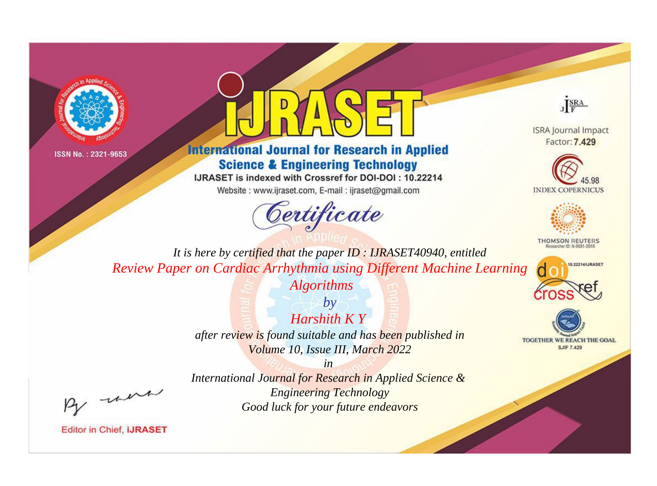



# **International Journal for Research in Applied Science & Engineering Technology**

IJRASET is indexed with Crossref for DOI-DOI: 10.22214

Website: www.ijraset.com, E-mail: ijraset@gmail.com



JERA

**ISRA Journal Impact** Factor: 7.429





**THOMSON REUTERS** 



TOGETHER WE REACH THE GOAL **SJIF 7.429** 

It is here by certified that the paper ID: IJRASET40940, entitled Review Paper on Cardiac Arrhythmia using Different Machine Learning **Algorithms** 

> $by$ Harshith  $KY$ after review is found suitable and has been published in Volume 10, Issue III, March 2022

were

International Journal for Research in Applied Science & **Engineering Technology** Good luck for your future endeavors

 $in$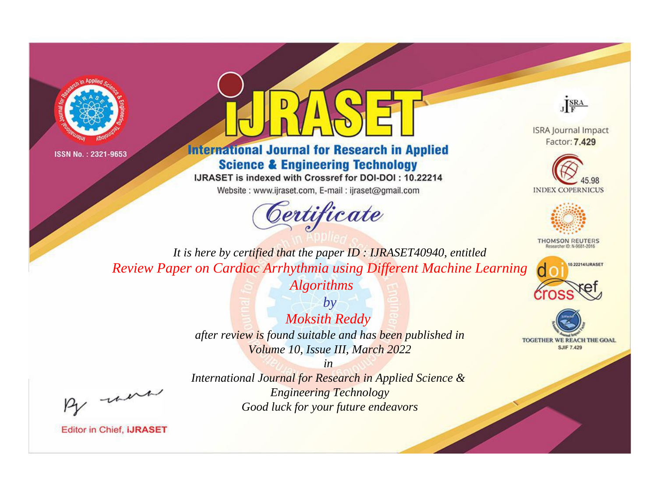



# **International Journal for Research in Applied Science & Engineering Technology**

IJRASET is indexed with Crossref for DOI-DOI: 10.22214

Website: www.ijraset.com, E-mail: ijraset@gmail.com



JERA

**ISRA Journal Impact** Factor: 7.429





**THOMSON REUTERS** 



TOGETHER WE REACH THE GOAL **SJIF 7.429** 

It is here by certified that the paper ID: IJRASET40940, entitled Review Paper on Cardiac Arrhythmia using Different Machine Learning **Algorithms** 

> $by$ **Moksith Reddy** after review is found suitable and has been published in Volume 10, Issue III, March 2022

were

International Journal for Research in Applied Science & **Engineering Technology** Good luck for your future endeavors

 $in$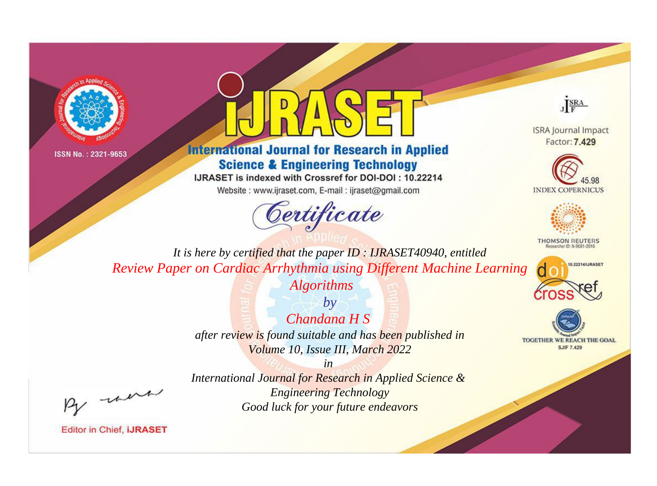



# **International Journal for Research in Applied Science & Engineering Technology**

IJRASET is indexed with Crossref for DOI-DOI: 10.22214

Website: www.ijraset.com, E-mail: ijraset@gmail.com



JERA

**ISRA Journal Impact** Factor: 7.429





**THOMSON REUTERS** 



TOGETHER WE REACH THE GOAL **SJIF 7.429** 

It is here by certified that the paper ID: IJRASET40940, entitled Review Paper on Cardiac Arrhythmia using Different Machine Learning **Algorithms** 

> $by$ Chandana H S after review is found suitable and has been published in Volume 10, Issue III, March 2022

were

International Journal for Research in Applied Science & **Engineering Technology** Good luck for your future endeavors

 $in$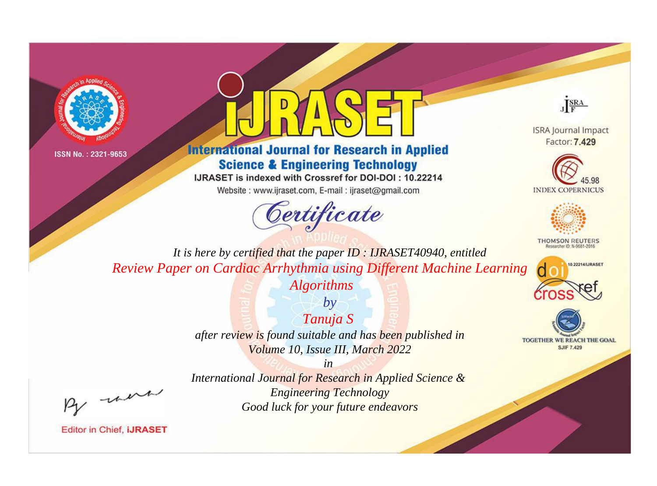



# **International Journal for Research in Applied Science & Engineering Technology**

IJRASET is indexed with Crossref for DOI-DOI: 10.22214

Website: www.ijraset.com, E-mail: ijraset@gmail.com



JERA

**ISRA Journal Impact** Factor: 7.429





**THOMSON REUTERS** 



TOGETHER WE REACH THE GOAL **SJIF 7.429** 

It is here by certified that the paper ID: IJRASET40940, entitled Review Paper on Cardiac Arrhythmia using Different Machine Learning **Algorithms** 

> $by$ Tanuja S after review is found suitable and has been published in Volume 10, Issue III, March 2022

 $in$ International Journal for Research in Applied Science & **Engineering Technology** Good luck for your future endeavors

were